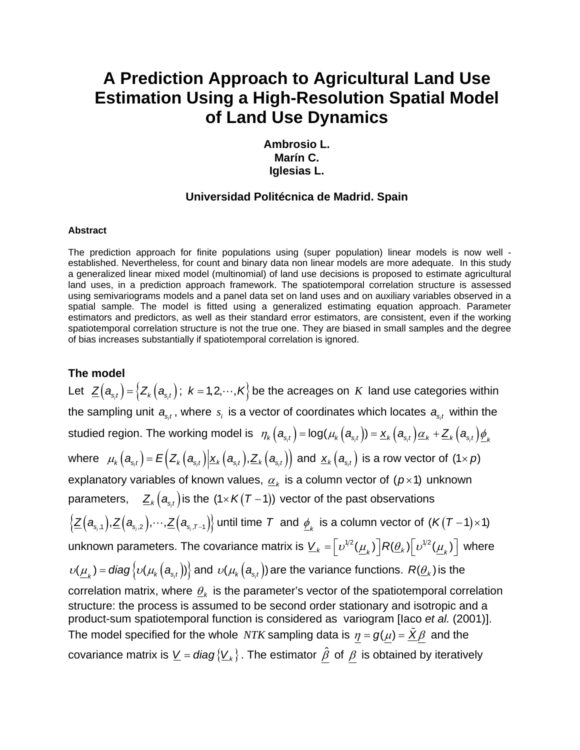# **A Prediction Approach to Agricultural Land Use Estimation Using a High-Resolution Spatial Model of Land Use Dynamics**

**Ambrosio L. Marín C. Iglesias L.** 

### **Universidad Politécnica de Madrid. Spain**

#### **Abstract**

The prediction approach for finite populations using (super population) linear models is now well established. Nevertheless, for count and binary data non linear models are more adequate. In this study a generalized linear mixed model (multinomial) of land use decisions is proposed to estimate agricultural land uses, in a prediction approach framework. The spatiotemporal correlation structure is assessed using semivariograms models and a panel data set on land uses and on auxiliary variables observed in a spatial sample. The model is fitted using a generalized estimating equation approach. Parameter estimators and predictors, as well as their standard error estimators, are consistent, even if the working spatiotemporal correlation structure is not the true one. They are biased in small samples and the degree of bias increases substantially if spatiotemporal correlation is ignored.

#### **The model**

Let  $\mathcal{Z}\big(\bm{a}_{s_{i}}\big)$  =  $\big\{Z_k\big(\bm{a}_{s_{i}}\big); \,\, k$  = 1,2,…, $\bm{\mathcal{K}}\big\}$  be the acreages on  $\ K$  land use categories within the sampling unit  $a_{s_it}$ , where  $s_i$  is a vector of coordinates which locates  $a_{s_it}$  within the studied region. The working model is  $\;\; \eta_k\big(\bm{a}_{s,t}\big)$  = log $(\mu_k\big(\bm{a}_{s,t}\big))$  =  $\underline{\bm{x}}_k\big(\bm{a}_{s,t}\big)\underline{\bm{\alpha}}_k + \underline{\bm{Z}}_k\big(\bm{a}_{s,t}\big) \underline{\bm{\phi}}_k$ where  $\mu_k(a_{s,t}) = E(Z_k(a_{s,t}) | \underline{x}_k(a_{s,t}), \underline{Z}_k(a_{s,t})$  and  $\underline{x}_k(a_{s,t})$  is a row vector of  $(1 \times p)$ explanatory variables of known values,  $\underline{\alpha}_k$  is a column vector of  $(p \times 1)$  unknown parameters,  $\mathcal{Z}_{k}\big( \boldsymbol{a}_{s_{i}t} \big)$  is the  $(1 \times K(T-1))$  vector of the past observations  $\{\underline{Z}(\bm{a}_{\mathrm{s},1}),\underline{Z}(\bm{a}_{\mathrm{s},2}),\!\cdots\!,\underline{Z}(\bm{a}_{\mathrm{s},\mathcal{T}-1})\}$  until time  $\bm{\mathcal{T}}$  and  $\underline{\phi}_k$  is a column vector of  $(\bm{\mathcal{K}}(\bm{\mathcal{T}}-\bm{1})\!\times\!\bm{1})$ unknown parameters. The covariance matrix is  $\underline{V}_k=\left\lfloor \frac{v^{1/2}(\mu_k)}{k}\right\rfloor R(\underline{\theta}_k)\left\lfloor \frac{v^{1/2}(\mu_k)}{k}\right\rfloor$  where  $\nu(\underline{\mu}_k)$  = *diag*  $\big\{\nu(\mu_k\big(\bm{a}_{s,t}\big)\big\}$  and  $\nu(\mu_k\big(\bm{a}_{s,t}\big))$  are the variance functions.  $R(\underline{\theta}_k)$  is the correlation matrix, where  $\theta_k$  is the parameter's vector of the spatiotemporal correlation structure: the process is assumed to be second order stationary and isotropic and a product-sum spatiotemporal function is considered as variogram [Iaco *et al.* (2001)]. The model specified for the whole *NTK* sampling data is  $\eta = g(\mu) = \tilde{X}\beta$  and the covariance matrix is  $\underline{V} = diag\{\underline{V}_k\}$ . The estimator  $\hat{\beta}$  of  $\beta$  is obtained by iteratively